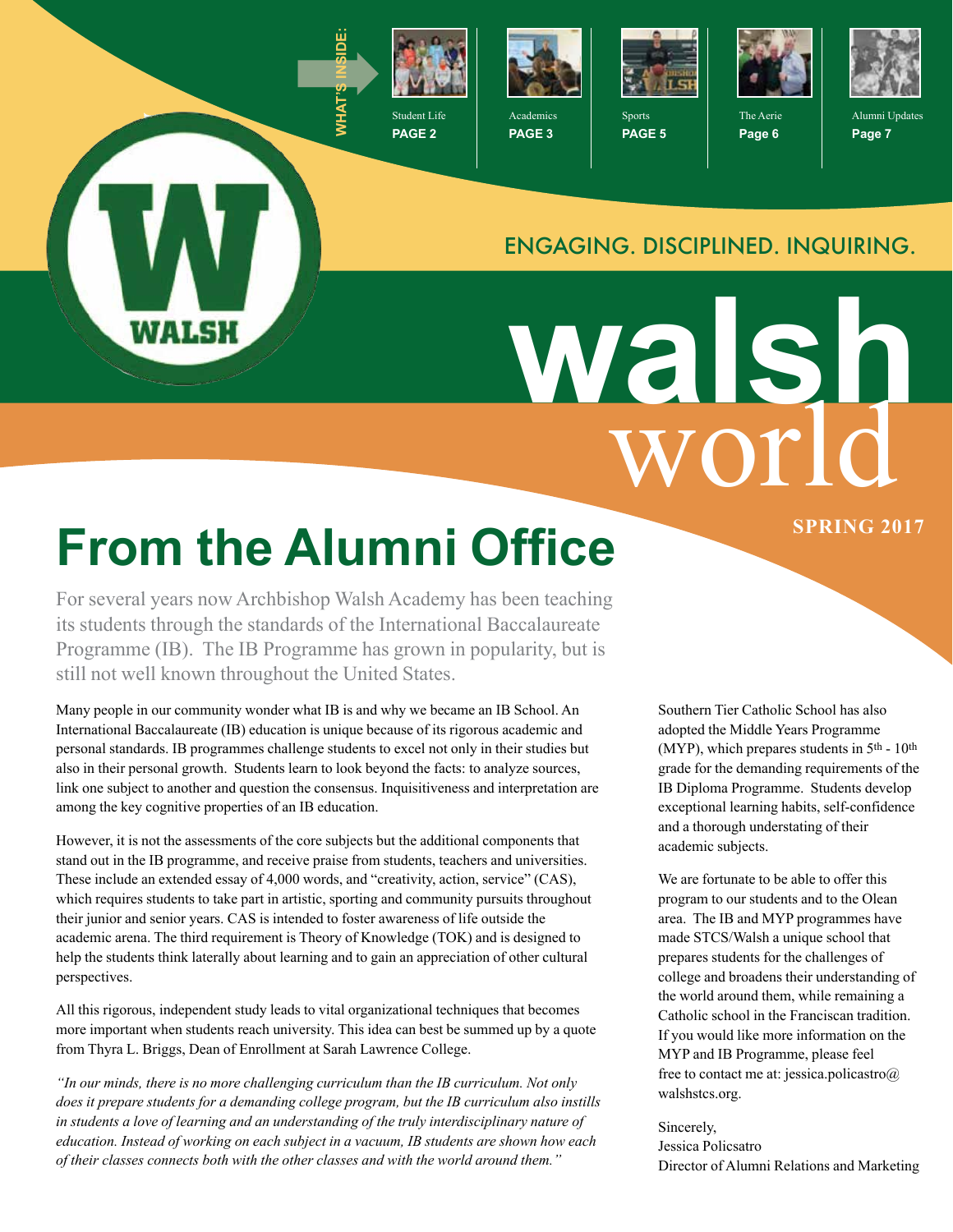

**PAGE 2**



**PAGE 3**



Sports **PAGE 5**



The Aerie **Page 6**



Alumni Updates **Page 7**

#### ENGAGING. DISCIPLINED. INQUIRING.

world **walsh**

# **From the Alumni Office** SPRING 2017

WALSH

For several years now Archbishop Walsh Academy has been teaching its students through the standards of the International Baccalaureate Programme (IB). The IB Programme has grown in popularity, but is still not well known throughout the United States.

Many people in our community wonder what IB is and why we became an IB School. An International Baccalaureate (IB) education is unique because of its rigorous academic and personal standards. IB programmes challenge students to excel not only in their studies but also in their personal growth. Students learn to look beyond the facts: to analyze sources, link one subject to another and question the consensus. Inquisitiveness and interpretation are among the key cognitive properties of an IB education.

However, it is not the assessments of the core subjects but the additional components that stand out in the IB programme, and receive praise from students, teachers and universities. These include an extended essay of 4,000 words, and "creativity, action, service" (CAS), which requires students to take part in artistic, sporting and community pursuits throughout their junior and senior years. CAS is intended to foster awareness of life outside the academic arena. The third requirement is Theory of Knowledge (TOK) and is designed to help the students think laterally about learning and to gain an appreciation of other cultural perspectives.

All this rigorous, independent study leads to vital organizational techniques that becomes more important when students reach university. This idea can best be summed up by a quote from Thyra L. Briggs, Dean of Enrollment at Sarah Lawrence College.

*"In our minds, there is no more challenging curriculum than the IB curriculum. Not only does it prepare students for a demanding college program, but the IB curriculum also instills in students a love of learning and an understanding of the truly interdisciplinary nature of education. Instead of working on each subject in a vacuum, IB students are shown how each of their classes connects both with the other classes and with the world around them."*

Southern Tier Catholic School has also adopted the Middle Years Programme (MYP), which prepares students in  $5<sup>th</sup>$  - 10<sup>th</sup> grade for the demanding requirements of the IB Diploma Programme. Students develop exceptional learning habits, self-confidence and a thorough understating of their academic subjects.

We are fortunate to be able to offer this program to our students and to the Olean area. The IB and MYP programmes have made STCS/Walsh a unique school that prepares students for the challenges of college and broadens their understanding of the world around them, while remaining a Catholic school in the Franciscan tradition. If you would like more information on the MYP and IB Programme, please feel free to contact me at: jessica.policastro@ walshstcs.org.

#### Sincerely,

Jessica Policsatro Director of Alumni Relations and Marketing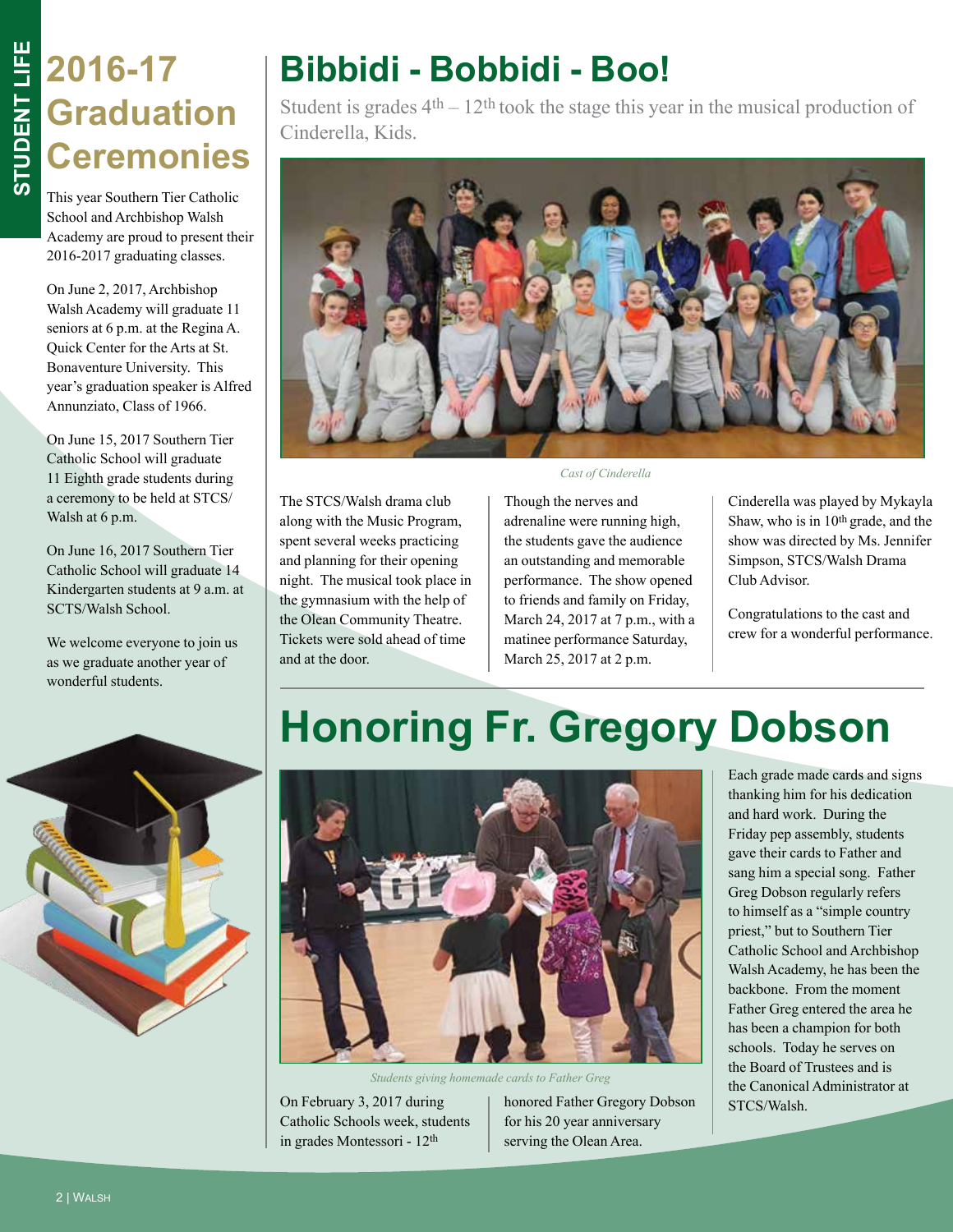#### **2016-17 Graduation Ceremonies**

This year Southern Tier Catholic School and Archbishop Walsh Academy are proud to present their 2016-2017 graduating classes.

On June 2, 2017, Archbishop Walsh Academy will graduate 11 seniors at 6 p.m. at the Regina A. Quick Center for the Arts at St. Bonaventure University. This year's graduation speaker is Alfred Annunziato, Class of 1966.

On June 15, 2017 Southern Tier Catholic School will graduate 11 Eighth grade students during a ceremony to be held at STCS/ Walsh at 6 p.m.

On June 16, 2017 Southern Tier Catholic School will graduate 14 Kindergarten students at 9 a.m. at SCTS/Walsh School.

We welcome everyone to join us as we graduate another year of wonderful students.

### **Bibbidi - Bobbidi - Boo!**

Student is grades  $4<sup>th</sup> - 12<sup>th</sup>$  took the stage this year in the musical production of Cinderella, Kids.



The STCS/Walsh drama club along with the Music Program, spent several weeks practicing and planning for their opening night. The musical took place in the gymnasium with the help of the Olean Community Theatre. Tickets were sold ahead of time and at the door.

*Cast of Cinderella*

Though the nerves and adrenaline were running high, the students gave the audience an outstanding and memorable performance. The show opened to friends and family on Friday, March 24, 2017 at 7 p.m., with a matinee performance Saturday, March 25, 2017 at 2 p.m.

Cinderella was played by Mykayla Shaw, who is in 10th grade, and the show was directed by Ms. Jennifer Simpson, STCS/Walsh Drama Club Advisor.

Congratulations to the cast and crew for a wonderful performance.



### **Honoring Fr. Gregory Dobson**



*Students giving homemade cards to Father Greg*

On February 3, 2017 during Catholic Schools week, students in grades Montessori - 12th

honored Father Gregory Dobson for his 20 year anniversary serving the Olean Area.

Each grade made cards and signs thanking him for his dedication and hard work. During the Friday pep assembly, students gave their cards to Father and sang him a special song. Father Greg Dobson regularly refers to himself as a "simple country priest," but to Southern Tier Catholic School and Archbishop Walsh Academy, he has been the backbone. From the moment Father Greg entered the area he has been a champion for both schools. Today he serves on the Board of Trustees and is the Canonical Administrator at STCS/Walsh.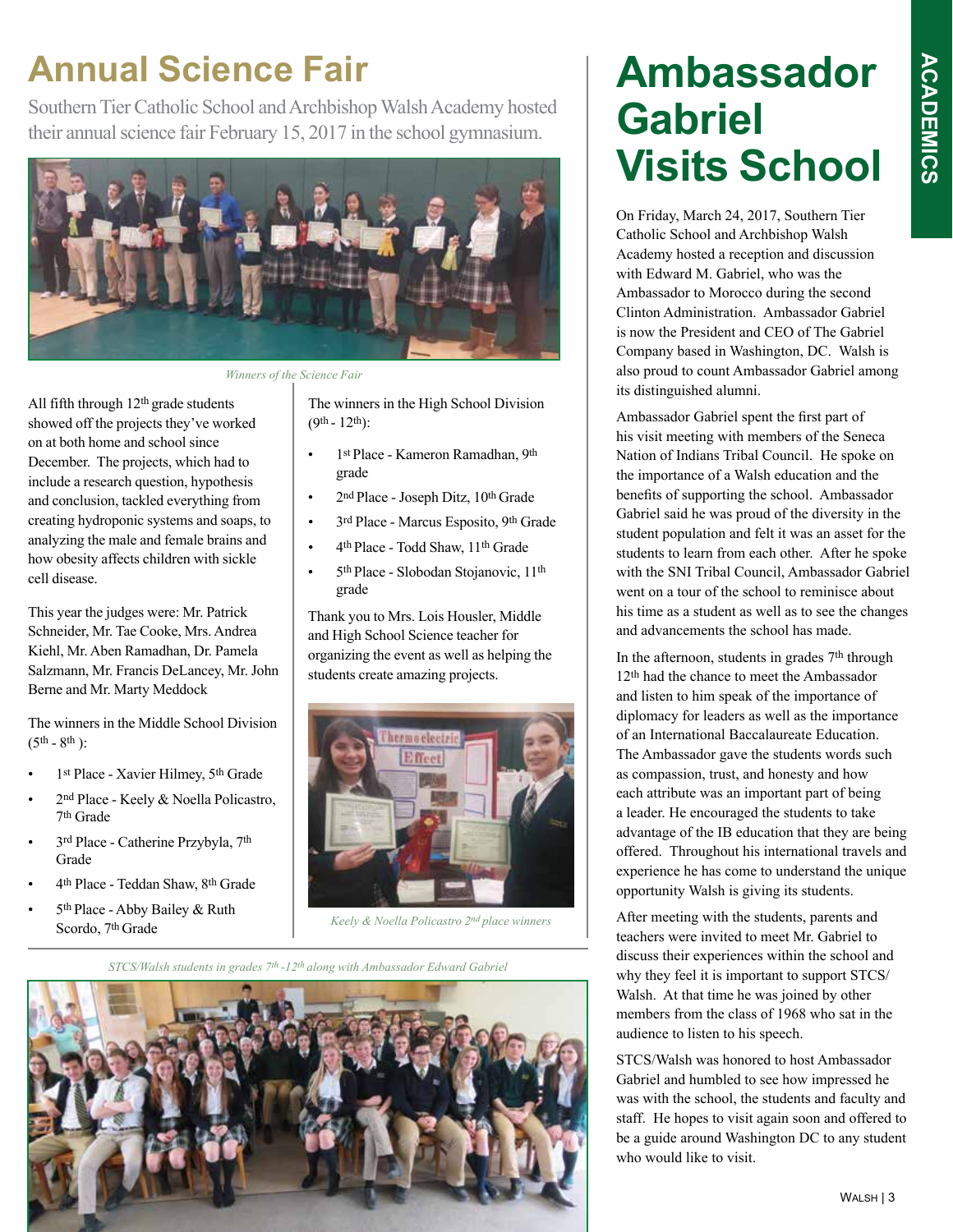# **ACADEMICS ACADEMICS**

#### **Annual Science Fair**

Southern Tier Catholic School and Archbishop Walsh Academy hosted their annual science fair February 15, 2017 in the school gymnasium.



*Winners of the Science Fair*

All fifth through 12<sup>th</sup> grade students showed off the projects they've worked on at both home and school since December. The projects, which had to include a research question, hypothesis and conclusion, tackled everything from creating hydroponic systems and soaps, to analyzing the male and female brains and how obesity affects children with sickle cell disease.

This year the judges were: Mr. Patrick Schneider, Mr. Tae Cooke, Mrs. Andrea Kiehl, Mr. Aben Ramadhan, Dr. Pamela Salzmann, Mr. Francis DeLancey, Mr. John Berne and Mr. Marty Meddock

The winners in the Middle School Division  $(5^{th} - 8^{th})$ :

- 1st Place Xavier Hilmey, 5th Grade
- 2<sup>nd</sup> Place Keely & Noella Policastro, 7th Grade
- 3rd Place Catherine Przybyla, 7th Grade
- 4th Place Teddan Shaw, 8th Grade
- 5<sup>th</sup> Place Abby Bailey & Ruth Scordo, 7th Grade

The winners in the High School Division  $(9^{th} - 12^{th})$ :

- 1st Place Kameron Ramadhan, 9th grade
- 2<sup>nd</sup> Place Joseph Ditz, 10<sup>th</sup> Grade
- 3rd Place Marcus Esposito, 9th Grade
- 4th Place Todd Shaw, 11th Grade
- 5th Place Slobodan Stojanovic, 11th grade

Thank you to Mrs. Lois Housler, Middle and High School Science teacher for organizing the event as well as helping the students create amazing projects.



*Keely & Noella Policastro 2nd place winners* 

*STCS/Walsh students in grades 7th -12th along with Ambassador Edward Gabriel* 



#### **Ambassador Gabriel Visits School**

On Friday, March 24, 2017, Southern Tier Catholic School and Archbishop Walsh Academy hosted a reception and discussion with Edward M. Gabriel, who was the Ambassador to Morocco during the second Clinton Administration. Ambassador Gabriel is now the President and CEO of The Gabriel Company based in Washington, DC. Walsh is also proud to count Ambassador Gabriel among its distinguished alumni.

Ambassador Gabriel spent the first part of his visit meeting with members of the Seneca Nation of Indians Tribal Council. He spoke on the importance of a Walsh education and the benefits of supporting the school. Ambassador Gabriel said he was proud of the diversity in the student population and felt it was an asset for the students to learn from each other. After he spoke with the SNI Tribal Council, Ambassador Gabriel went on a tour of the school to reminisce about his time as a student as well as to see the changes and advancements the school has made.

In the afternoon, students in grades 7th through 12th had the chance to meet the Ambassador and listen to him speak of the importance of diplomacy for leaders as well as the importance of an International Baccalaureate Education. The Ambassador gave the students words such as compassion, trust, and honesty and how each attribute was an important part of being a leader. He encouraged the students to take advantage of the IB education that they are being offered. Throughout his international travels and experience he has come to understand the unique opportunity Walsh is giving its students.

After meeting with the students, parents and teachers were invited to meet Mr. Gabriel to discuss their experiences within the school and why they feel it is important to support STCS/ Walsh. At that time he was joined by other members from the class of 1968 who sat in the audience to listen to his speech.

STCS/Walsh was honored to host Ambassador Gabriel and humbled to see how impressed he was with the school, the students and faculty and staff. He hopes to visit again soon and offered to be a guide around Washington DC to any student who would like to visit.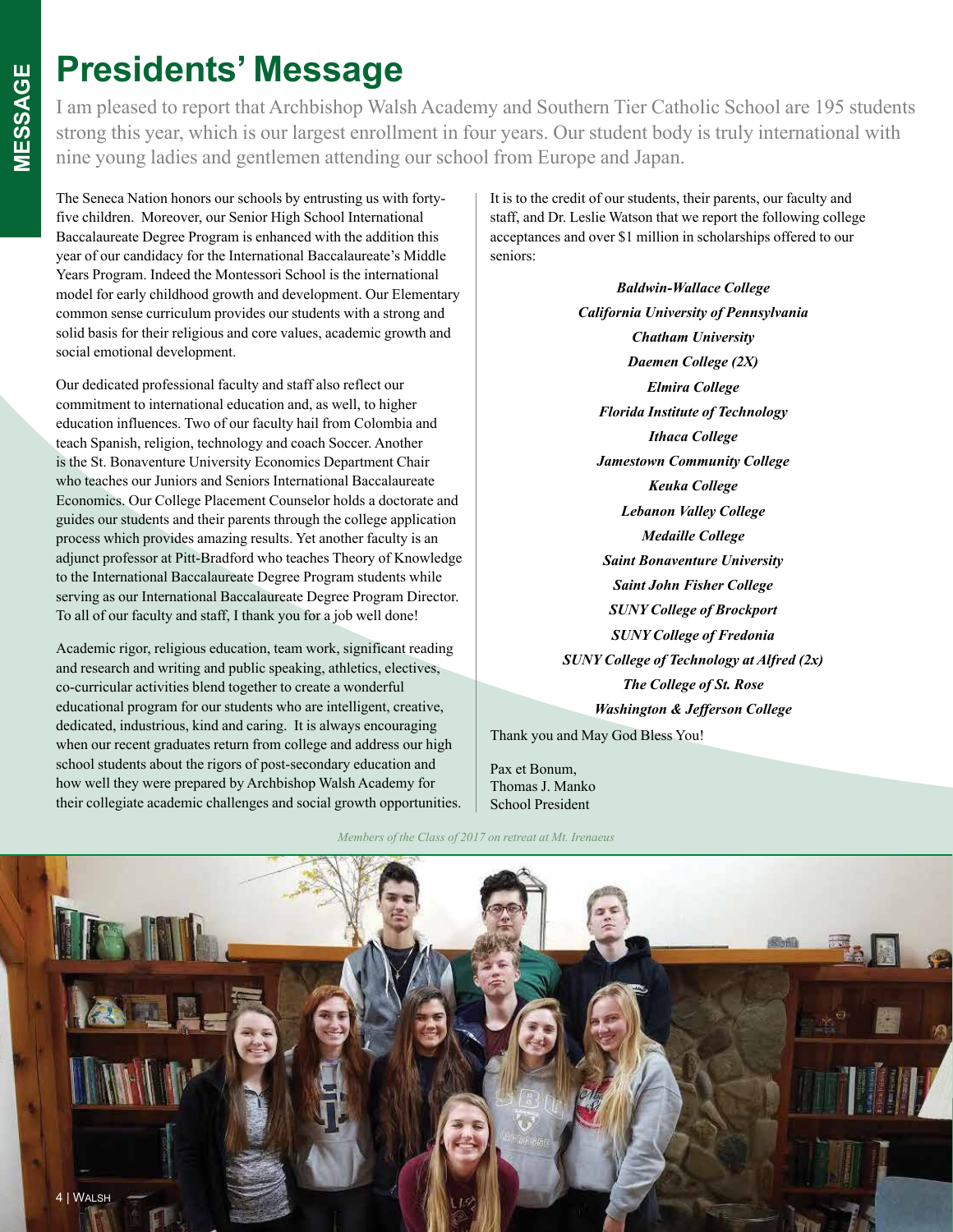#### **Presidents' Message**

I am pleased to report that Archbishop Walsh Academy and Southern Tier Catholic School are 195 students strong this year, which is our largest enrollment in four years. Our student body is truly international with nine young ladies and gentlemen attending our school from Europe and Japan.

The Seneca Nation honors our schools by entrusting us with fortyfive children. Moreover, our Senior High School International Baccalaureate Degree Program is enhanced with the addition this year of our candidacy for the International Baccalaureate's Middle Years Program. Indeed the Montessori School is the international model for early childhood growth and development. Our Elementary common sense curriculum provides our students with a strong and solid basis for their religious and core values, academic growth and social emotional development.

Our dedicated professional faculty and staff also reflect our commitment to international education and, as well, to higher education influences. Two of our faculty hail from Colombia and teach Spanish, religion, technology and coach Soccer. Another is the St. Bonaventure University Economics Department Chair who teaches our Juniors and Seniors International Baccalaureate Economics. Our College Placement Counselor holds a doctorate and guides our students and their parents through the college application process which provides amazing results. Yet another faculty is an adjunct professor at Pitt-Bradford who teaches Theory of Knowledge to the International Baccalaureate Degree Program students while serving as our International Baccalaureate Degree Program Director. To all of our faculty and staff, I thank you for a job well done!

Academic rigor, religious education, team work, significant reading and research and writing and public speaking, athletics, electives, co-curricular activities blend together to create a wonderful educational program for our students who are intelligent, creative, dedicated, industrious, kind and caring. It is always encouraging when our recent graduates return from college and address our high school students about the rigors of post-secondary education and how well they were prepared by Archbishop Walsh Academy for their collegiate academic challenges and social growth opportunities. It is to the credit of our students, their parents, our faculty and staff, and Dr. Leslie Watson that we report the following college acceptances and over \$1 million in scholarships offered to our seniors:

> *Baldwin-Wallace College California University of Pennsylvania Chatham University Daemen College (2X) Elmira College Florida Institute of Technology Ithaca College Jamestown Community College Keuka College Lebanon Valley College Medaille College Saint Bonaventure University Saint John Fisher College SUNY College of Brockport SUNY College of Fredonia SUNY College of Technology at Alfred (2x) The College of St. Rose Washington & Jefferson College*

Thank you and May God Bless You!

Pax et Bonum, Thomas J. Manko School President

*Members of the Class of 2017 on retreat at Mt. Irenaeus*

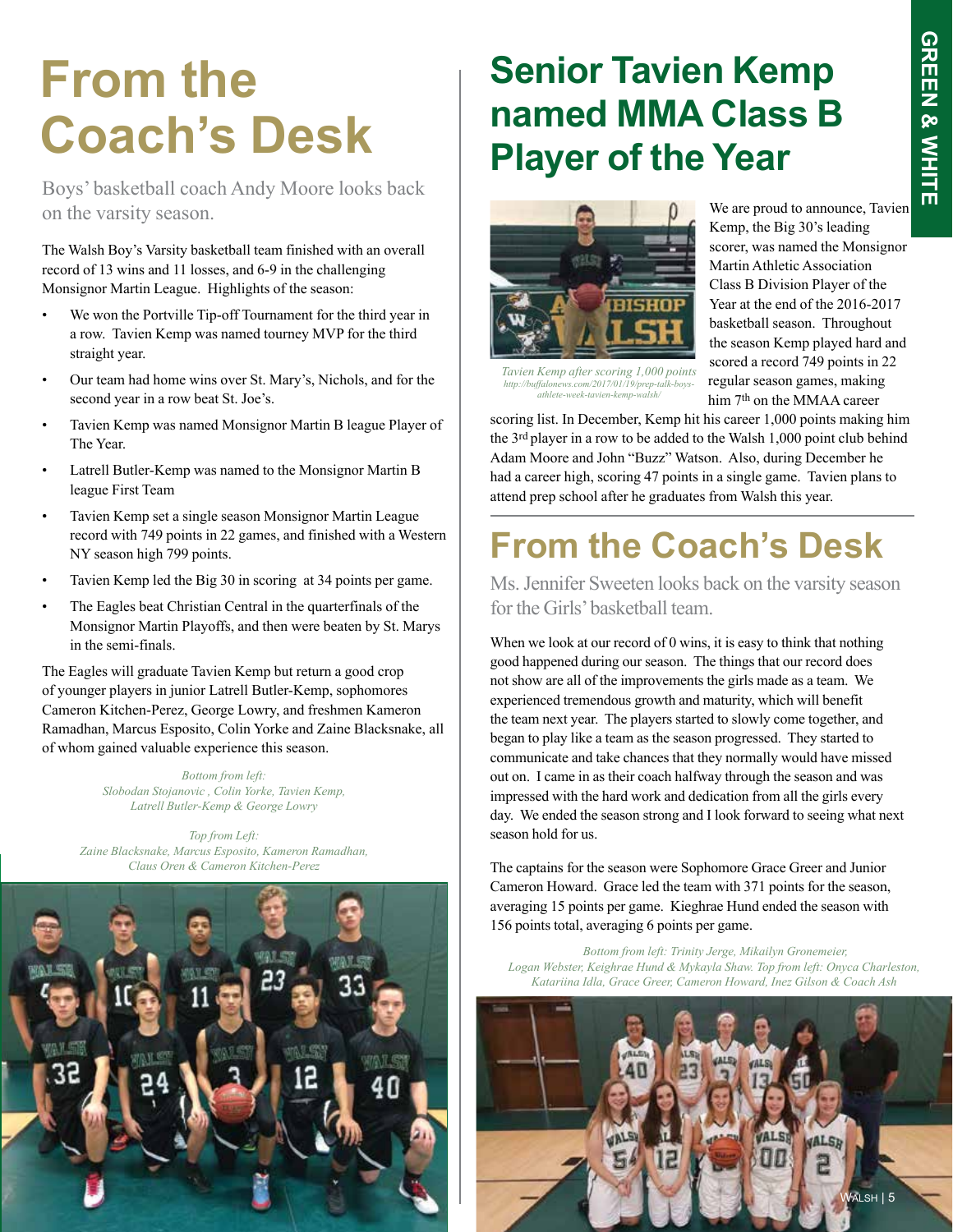### **From the Coach's Desk**

Boys' basketball coach Andy Moore looks back on the varsity season.  $\theta$  We are proud to announce, Tavien

The Walsh Boy's Varsity basketball team finished with an overall record of 13 wins and 11 losses, and 6-9 in the challenging Monsignor Martin League. Highlights of the season:

- We won the Portville Tip-off Tournament for the third year in a row. Tavien Kemp was named tourney MVP for the third straight year.
- Our team had home wins over St. Mary's, Nichols, and for the second year in a row beat St. Joe's.
- Tavien Kemp was named Monsignor Martin B league Player of The Year.
- Latrell Butler-Kemp was named to the Monsignor Martin B league First Team
- Tavien Kemp set a single season Monsignor Martin League record with 749 points in 22 games, and finished with a Western NY season high 799 points.
- Tavien Kemp led the Big 30 in scoring at 34 points per game.
- The Eagles beat Christian Central in the quarterfinals of the Monsignor Martin Playoffs, and then were beaten by St. Marys in the semi-finals.

The Eagles will graduate Tavien Kemp but return a good crop of younger players in junior Latrell Butler-Kemp, sophomores Cameron Kitchen-Perez, George Lowry, and freshmen Kameron Ramadhan, Marcus Esposito, Colin Yorke and Zaine Blacksnake, all of whom gained valuable experience this season.

> *Bottom from left: Slobodan Stojanovic , Colin Yorke, Tavien Kemp, Latrell Butler-Kemp & George Lowry*

*Top from Left: Zaine Blacksnake, Marcus Esposito, Kameron Ramadhan, Claus Oren & Cameron Kitchen-Perez*



#### **Senior Tavien Kemp named MMA Class B Player of the Year**



*Tavien Kemp after scoring 1,000 points http://buffalonews.com/2017/01/19/prep-talk-boys-athlete-week-tavien-kemp-walsh/* 

Kemp, the Big 30's leading scorer, was named the Monsignor Martin Athletic Association Class B Division Player of the Year at the end of the 2016-2017 basketball season. Throughout the season Kemp played hard and scored a record 749 points in 22 regular season games, making him 7th on the MMAA career

scoring list. In December, Kemp hit his career 1,000 points making him the 3rd player in a row to be added to the Walsh 1,000 point club behind Adam Moore and John "Buzz" Watson. Also, during December he had a career high, scoring 47 points in a single game. Tavien plans to attend prep school after he graduates from Walsh this year.

#### **From the Coach's Desk**

Ms. Jennifer Sweeten looks back on the varsity season for the Girls' basketball team.

When we look at our record of 0 wins, it is easy to think that nothing good happened during our season. The things that our record does not show are all of the improvements the girls made as a team. We experienced tremendous growth and maturity, which will benefit the team next year. The players started to slowly come together, and began to play like a team as the season progressed. They started to communicate and take chances that they normally would have missed out on. I came in as their coach halfway through the season and was impressed with the hard work and dedication from all the girls every day. We ended the season strong and I look forward to seeing what next season hold for us.

The captains for the season were Sophomore Grace Greer and Junior Cameron Howard. Grace led the team with 371 points for the season, averaging 15 points per game. Kieghrae Hund ended the season with 156 points total, averaging 6 points per game.

 *Bottom from left: Trinity Jerge, Mikailyn Gronemeier, Logan Webster, Keighrae Hund & Mykayla Shaw. Top from left: Onyca Charleston, Katariina Idla, Grace Greer, Cameron Howard, Inez Gilson & Coach Ash*

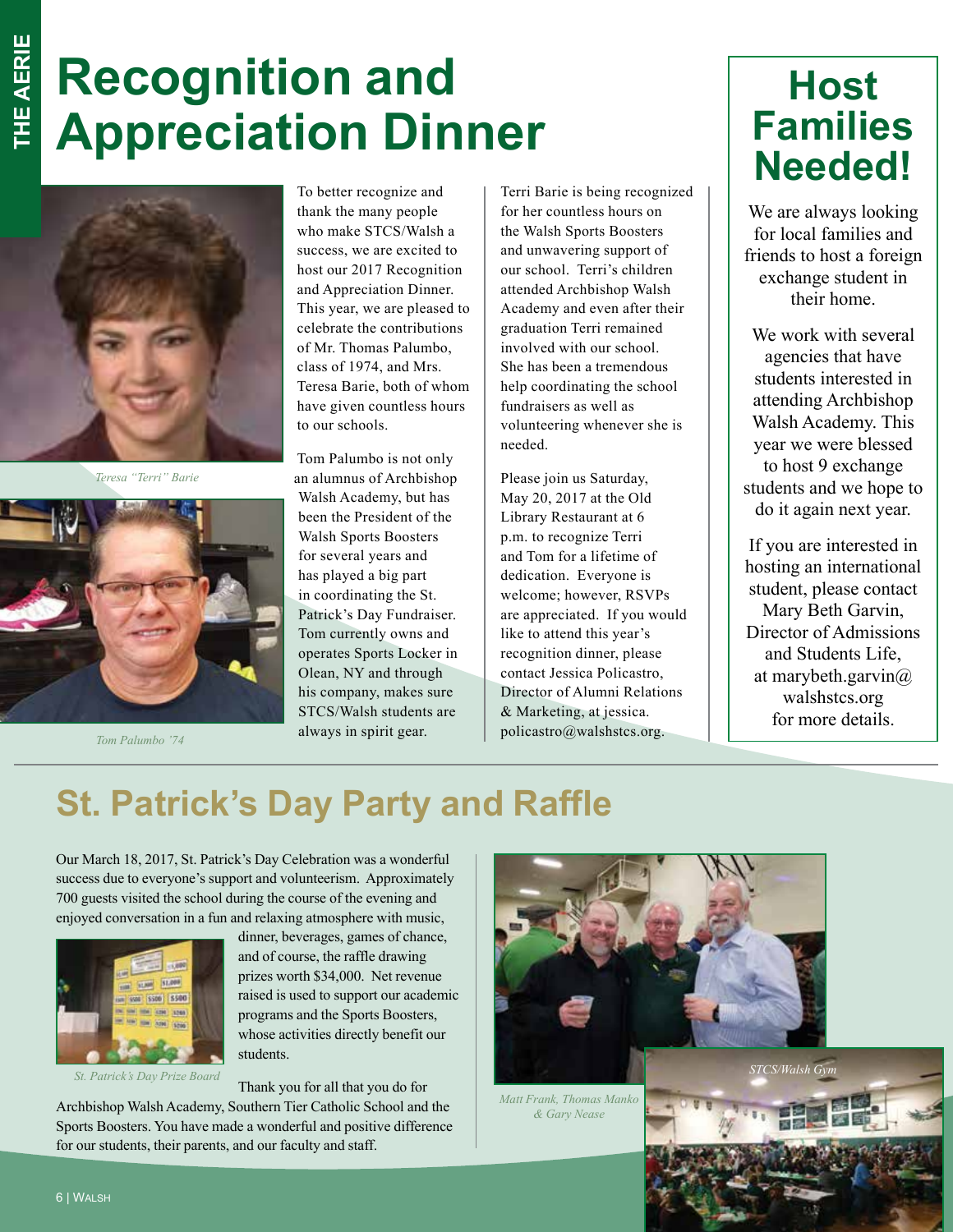## **Recognition and Appreciation Dinner**



*Teresa "Terri" Barie*



*Tom Palumbo '74*

To better recognize and thank the many people who make STCS/Walsh a success, we are excited to host our 2017 Recognition and Appreciation Dinner. This year, we are pleased to celebrate the contributions of Mr. Thomas Palumbo, class of 1974, and Mrs. Teresa Barie, both of whom have given countless hours to our schools.

Tom Palumbo is not only an alumnus of Archbishop Walsh Academy, but has been the President of the Walsh Sports Boosters for several years and has played a big part in coordinating the St. Patrick's Day Fundraiser. Tom currently owns and operates Sports Locker in Olean, NY and through his company, makes sure STCS/Walsh students are always in spirit gear.

Terri Barie is being recognized for her countless hours on the Walsh Sports Boosters and unwavering support of our school. Terri's children attended Archbishop Walsh Academy and even after their graduation Terri remained involved with our school. She has been a tremendous help coordinating the school fundraisers as well as volunteering whenever she is needed.

Please join us Saturday, May 20, 2017 at the Old Library Restaurant at 6 p.m. to recognize Terri and Tom for a lifetime of dedication. Everyone is welcome; however, RSVPs are appreciated. If you would like to attend this year's recognition dinner, please contact Jessica Policastro, Director of Alumni Relations & Marketing, at jessica. policastro@walshstcs.org.

#### **Host Families Needed!**

We are always looking for local families and friends to host a foreign exchange student in their home.

We work with several agencies that have students interested in attending Archbishop Walsh Academy. This year we were blessed to host 9 exchange students and we hope to do it again next year.

If you are interested in hosting an international student, please contact Mary Beth Garvin, Director of Admissions and Students Life, at marybeth.garvin@ walshstcs.org for more details.

#### **St. Patrick's Day Party and Raffle**

Our March 18, 2017, St. Patrick's Day Celebration was a wonderful success due to everyone's support and volunteerism. Approximately 700 guests visited the school during the course of the evening and enjoyed conversation in a fun and relaxing atmosphere with music,



*St. Patrick's Day Prize Board* 

dinner, beverages, games of chance, and of course, the raffle drawing prizes worth \$34,000. Net revenue raised is used to support our academic programs and the Sports Boosters, whose activities directly benefit our students.

Thank you for all that you do for

Archbishop Walsh Academy, Southern Tier Catholic School and the Sports Boosters. You have made a wonderful and positive difference for our students, their parents, and our faculty and staff.



*Matt Frank, Thomas Manko & Gary Nease*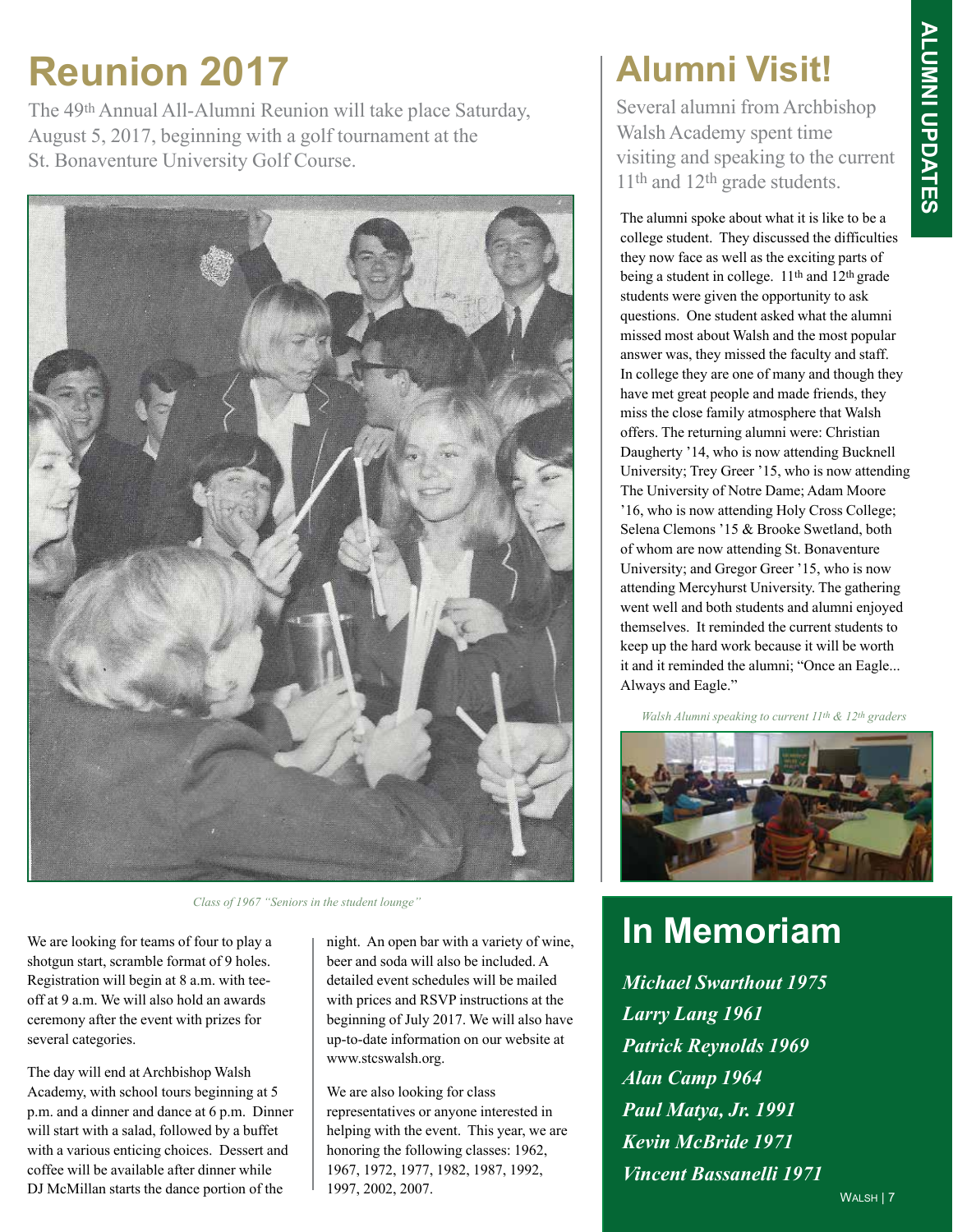### **Reunion 2017**

The 49th Annual All-Alumni Reunion will take place Saturday, August 5, 2017, beginning with a golf tournament at the St. Bonaventure University Golf Course.



*Class of 1967 "Seniors in the student lounge"*

We are looking for teams of four to play a shotgun start, scramble format of 9 holes. Registration will begin at 8 a.m. with teeoff at 9 a.m. We will also hold an awards ceremony after the event with prizes for several categories.

The day will end at Archbishop Walsh Academy, with school tours beginning at 5 p.m. and a dinner and dance at 6 p.m. Dinner will start with a salad, followed by a buffet with a various enticing choices. Dessert and coffee will be available after dinner while DJ McMillan starts the dance portion of the 1997, 2002, 2007.

night. An open bar with a variety of wine, beer and soda will also be included. A detailed event schedules will be mailed with prices and RSVP instructions at the beginning of July 2017. We will also have up-to-date information on our website at www.stcswalsh.org.

We are also looking for class representatives or anyone interested in helping with the event. This year, we are honoring the following classes: 1962, 1967, 1972, 1977, 1982, 1987, 1992, 1997, 2002, 2007.

#### **Alumni Visit!**

Several alumni from Archbishop Walsh Academy spent time visiting and speaking to the current 11th and 12th grade students.

The alumni spoke about what it is like to be a college student. They discussed the difficulties they now face as well as the exciting parts of being a student in college. 11<sup>th</sup> and 12<sup>th</sup> grade students were given the opportunity to ask questions. One student asked what the alumni missed most about Walsh and the most popular answer was, they missed the faculty and staff. In college they are one of many and though they have met great people and made friends, they miss the close family atmosphere that Walsh offers. The returning alumni were: Christian Daugherty '14, who is now attending Bucknell University; Trey Greer '15, who is now attending The University of Notre Dame; Adam Moore '16, who is now attending Holy Cross College; Selena Clemons '15 & Brooke Swetland, both of whom are now attending St. Bonaventure University; and Gregor Greer '15, who is now attending Mercyhurst University. The gathering went well and both students and alumni enjoyed themselves. It reminded the current students to keep up the hard work because it will be worth it and it reminded the alumni; "Once an Eagle... Always and Eagle."

*Walsh Alumni speaking to current 11th & 12th graders*



#### **In Memoriam**

*Michael Swarthout 1975 Larry Lang 1961 Patrick Reynolds 1969 Alan Camp 1964 Paul Matya, Jr. 1991 Kevin McBride 1971 Vincent Bassanelli 1971*